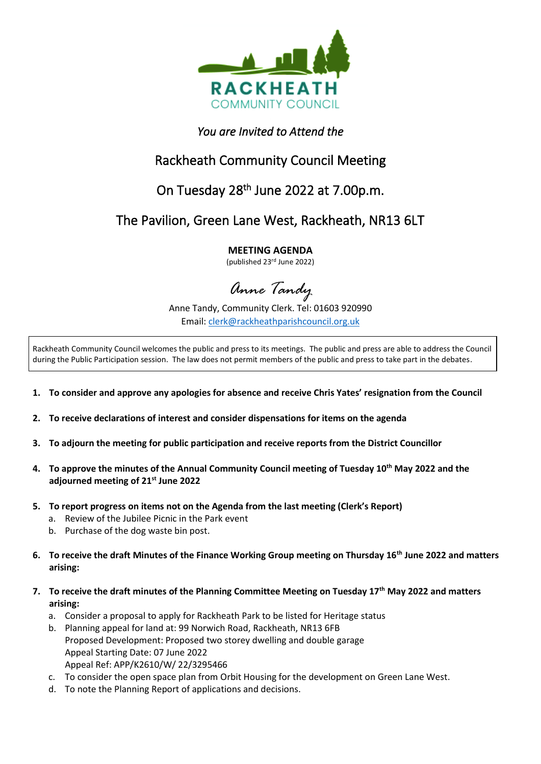

### *You are Invited to Attend the*

# Rackheath Community Council Meeting

# On Tuesday 28<sup>th</sup> June 2022 at 7.00p.m.

## The Pavilion, Green Lane West, Rackheath, NR13 6LT

**MEETING AGENDA**

(published 23rd June 2022)

*Anne Tandy*

Anne Tandy, Community Clerk. Tel: 01603 920990 Email[: clerk@rackheathparishcouncil.org.uk](mailto:clerk@rackheathparishcouncil.org.uk)

Rackheath Community Council welcomes the public and press to its meetings. The public and press are able to address the Council during the Public Participation session. The law does not permit members of the public and press to take part in the debates.

- **1. To consider and approve any apologies for absence and receive Chris Yates' resignation from the Council**
- **2. To receive declarations of interest and consider dispensations for items on the agenda**
- **3. To adjourn the meeting for public participation and receive reports from the District Councillor**
- **4. To approve the minutes of the Annual Community Council meeting of Tuesday 10th May 2022 and the adjourned meeting of 21st June 2022**
- **5. To report progress on items not on the Agenda from the last meeting (Clerk's Report)**
	- a. Review of the Jubilee Picnic in the Park event
	- b. Purchase of the dog waste bin post.
- **6. To receive the draft Minutes of the Finance Working Group meeting on Thursday 16th June 2022 and matters arising:**
- **7. To receive the draft minutes of the Planning Committee Meeting on Tuesday 17th May 2022 and matters arising:**
	- a. Consider a proposal to apply for Rackheath Park to be listed for Heritage status
	- b. Planning appeal for land at: 99 Norwich Road, Rackheath, NR13 6FB Proposed Development: Proposed two storey dwelling and double garage Appeal Starting Date: 07 June 2022 Appeal Ref: APP/K2610/W/ 22/3295466
	- c. To consider the open space plan from Orbit Housing for the development on Green Lane West.
	- d. To note the Planning Report of applications and decisions.